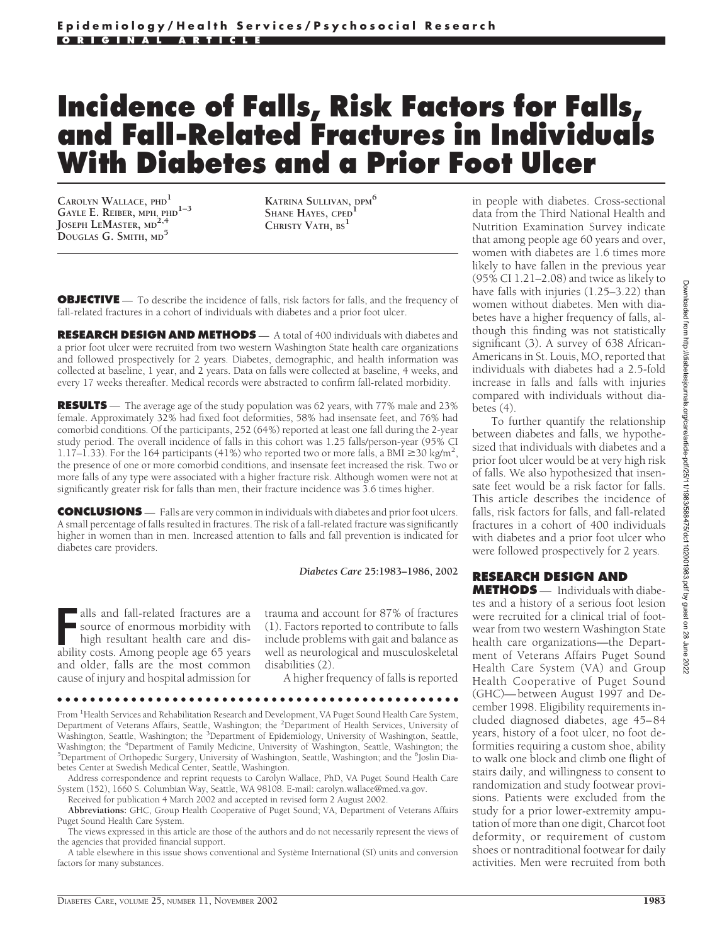# **Incidence of Falls, Risk Factors for Falls, and Fall-Related Fractures in Individuals With Diabetes and a Prior Foot Ulcer**

**CAROLYN WALLACE, PHD<sup>1</sup> GAYLE E. REIBER, MPH, PHD1–3 JOSEPH LEMASTER, MD2,4 DOUGLAS G. SMITH, MD<sup>5</sup>**

**KATRINA SULLIVAN, DPM<sup>6</sup> SHANE HAYES, CPED<sup>1</sup> CHRISTY VATH, BS<sup>1</sup>**

**OBJECTIVE** — To describe the incidence of falls, risk factors for falls, and the frequency of fall-related fractures in a cohort of individuals with diabetes and a prior foot ulcer.

**RESEARCH DESIGN AND METHODS** — A total of 400 individuals with diabetes and a prior foot ulcer were recruited from two western Washington State health care organizations and followed prospectively for 2 years. Diabetes, demographic, and health information was collected at baseline, 1 year, and 2 years. Data on falls were collected at baseline, 4 weeks, and every 17 weeks thereafter. Medical records were abstracted to confirm fall-related morbidity.

**RESULTS** — The average age of the study population was 62 years, with 77% male and 23% female. Approximately 32% had fixed foot deformities, 58% had insensate feet, and 76% had comorbid conditions. Of the participants, 252 (64%) reported at least one fall during the 2-year study period. The overall incidence of falls in this cohort was 1.25 falls/person-year (95% CI 1.17–1.33). For the 164 participants (41%) who reported two or more falls, a BMI  $\geq$ 30 kg/m<sup>2</sup>, the presence of one or more comorbid conditions, and insensate feet increased the risk. Two or more falls of any type were associated with a higher fracture risk. Although women were not at significantly greater risk for falls than men, their fracture incidence was 3.6 times higher.

**CONCLUSIONS** — Falls are very common in individuals with diabetes and prior foot ulcers. A small percentage of falls resulted in fractures. The risk of a fall-related fracture was significantly higher in women than in men. Increased attention to falls and fall prevention is indicated for diabetes care providers.

#### *Diabetes Care* **25:1983–1986, 2002**

**FR** alls and fall-related fractures are a source of enormous morbidity with high resultant health care and disability costs. Among people age 65 years alls and fall-related fractures are a source of enormous morbidity with high resultant health care and disand older, falls are the most common cause of injury and hospital admission for

trauma and account for 87% of fractures (1). Factors reported to contribute to falls include problems with gait and balance as well as neurological and musculoskeletal disabilities (2).

A higher frequency of falls is reported

From <sup>1</sup>Health Services and Rehabilitation Research and Development, VA Puget Sound Health Care System, Department of Veterans Affairs, Seattle, Washington; the <sup>2</sup>Department of Health Services, University of Washington, Seattle, Washington; the <sup>3</sup>Department of Epidemiology, University of Washington, Seattle, Washington; the <sup>4</sup>Department of Family Medicine, University of Washington, Seattle, Washington; the 51 perception of Orthonedic Surgery, University of Washington, Seattle, Washington; and the <sup>6</sup>1 oclin Dia Department of Orthopedic Surgery, University of Washington, Seattle, Washington; and the <sup>6</sup>Joslin Diabetes Center at Swedish Medical Center, Seattle, Washington.

●●●●●●●●●●●●●●●●●●●●●●●●●●●●●●●●●●●●●●●●●●●●●●●●●

Address correspondence and reprint requests to Carolyn Wallace, PhD, VA Puget Sound Health Care System (152), 1660 S. Columbian Way, Seattle, WA 98108. E-mail: carolyn.wallace@med.va.gov.

Received for publication 4 March 2002 and accepted in revised form 2 August 2002.

**Abbreviations:** GHC, Group Health Cooperative of Puget Sound; VA, Department of Veterans Affairs Puget Sound Health Care System.

The views expressed in this article are those of the authors and do not necessarily represent the views of the agencies that provided financial support.

A table elsewhere in this issue shows conventional and Système International (SI) units and conversion factors for many substances.

in people with diabetes. Cross-sectional data from the Third National Health and Nutrition Examination Survey indicate that among people age 60 years and over, women with diabetes are 1.6 times more likely to have fallen in the previous year (95% CI 1.21–2.08) and twice as likely to have falls with injuries (1.25–3.22) than women without diabetes. Men with diabetes have a higher frequency of falls, although this finding was not statistically significant (3). A survey of 638 African-Americans in St. Louis, MO, reported that individuals with diabetes had a 2.5-fold increase in falls and falls with injuries compared with individuals without diabetes (4).

To further quantify the relationship between diabetes and falls, we hypothesized that individuals with diabetes and a prior foot ulcer would be at very high risk of falls. We also hypothesized that insensate feet would be a risk factor for falls. This article describes the incidence of falls, risk factors for falls, and fall-related fractures in a cohort of 400 individuals with diabetes and a prior foot ulcer who were followed prospectively for 2 years.

## **RESEARCH DESIGN AND**

**METHODS** — Individuals with diabetes and a history of a serious foot lesion were recruited for a clinical trial of footwear from two western Washington State health care organizations—the Department of Veterans Affairs Puget Sound Health Care System (VA) and Group Health Cooperative of Puget Sound (GHC)—between August 1997 and December 1998. Eligibility requirements included diagnosed diabetes, age 45–84 years, history of a foot ulcer, no foot deformities requiring a custom shoe, ability to walk one block and climb one flight of stairs daily, and willingness to consent to randomization and study footwear provisions. Patients were excluded from the study for a prior lower-extremity amputation of more than one digit, Charcot foot deformity, or requirement of custom shoes or nontraditional footwear for daily activities. Men were recruited from both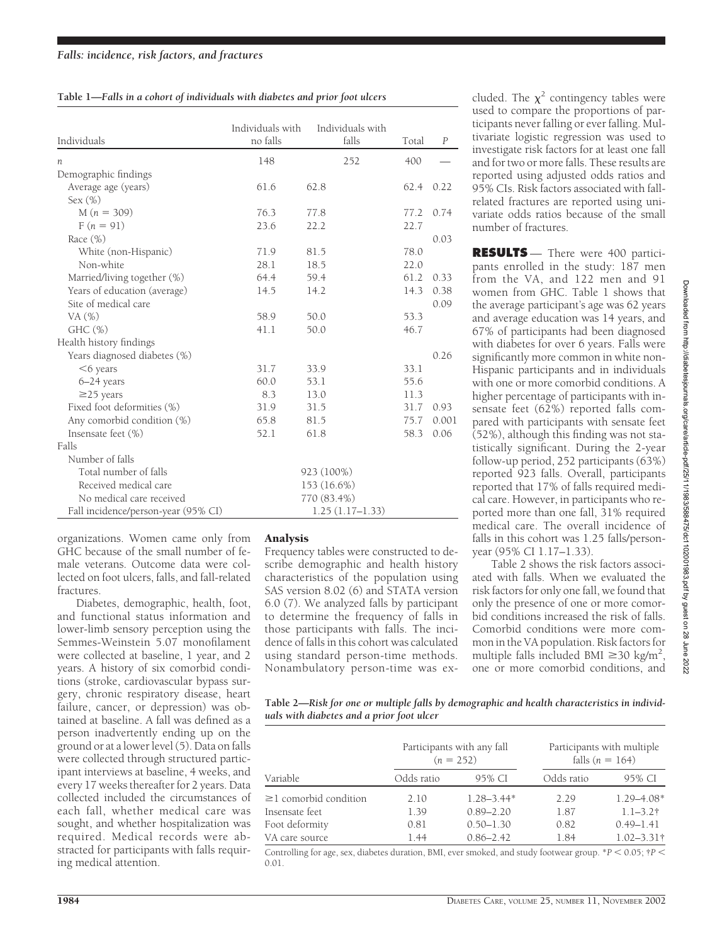|  | Table 1-Falls in a cohort of individuals with diabetes and prior foot ulcers |
|--|------------------------------------------------------------------------------|
|  |                                                                              |

|                                     | Individuals with | Individuals with  |       |                  |
|-------------------------------------|------------------|-------------------|-------|------------------|
| Individuals                         | no falls         | falls             | Total | $\boldsymbol{P}$ |
| п                                   | 148              | 252               | 400   |                  |
| Demographic findings                |                  |                   |       |                  |
| Average age (years)                 | 61.6             | 62.8              | 62.4  | 0.22             |
| Sex $(\%)$                          |                  |                   |       |                  |
| $M(n = 309)$                        | 76.3             | 77.8              | 77.2  | 0.74             |
| $F(n = 91)$                         | 23.6             | 22.2              | 22.7  |                  |
| Race $(\%)$                         |                  |                   |       | 0.03             |
| White (non-Hispanic)                | 71.9             | 81.5              | 78.0  |                  |
| Non-white                           | 28.1             | 18.5              | 22.0  |                  |
| Married/living together (%)         | 64.4             | 59.4              | 61.2  | 0.33             |
| Years of education (average)        | 14.5             | 14.2              | 14.3  | 0.38             |
| Site of medical care                |                  |                   |       | 0.09             |
| VA (%)                              | 58.9             | 50.0              | 53.3  |                  |
| GHC <sub>(</sub> %)                 | 41.1             | 50.0              | 46.7  |                  |
| Health history findings             |                  |                   |       |                  |
| Years diagnosed diabetes (%)        |                  |                   |       | 0.26             |
| $<$ 6 years                         | 31.7             | 33.9              | 33.1  |                  |
| 6-24 years                          | 60.0             | 53.1              | 55.6  |                  |
| $\geq$ 25 years                     | 8.3              | 13.0              | 11.3  |                  |
| Fixed foot deformities (%)          | 31.9             | 31.5              | 31.7  | 0.93             |
| Any comorbid condition (%)          | 65.8             | 81.5              | 75.7  | 0.001            |
| Insensate feet (%)                  | 52.1             | 61.8              | 58.3  | 0.06             |
| Falls                               |                  |                   |       |                  |
| Number of falls                     |                  |                   |       |                  |
| Total number of falls               |                  | 923 (100%)        |       |                  |
| Received medical care               |                  | 153 (16.6%)       |       |                  |
| No medical care received            |                  | 770 (83.4%)       |       |                  |
| Fall incidence/person-year (95% CI) |                  | $1.25(1.17-1.33)$ |       |                  |

organizations. Women came only from GHC because of the small number of female veterans. Outcome data were collected on foot ulcers, falls, and fall-related fractures.

Diabetes, demographic, health, foot, and functional status information and lower-limb sensory perception using the Semmes-Weinstein 5.07 monofilament were collected at baseline, 1 year, and 2 years. A history of six comorbid conditions (stroke, cardiovascular bypass surgery, chronic respiratory disease, heart failure, cancer, or depression) was obtained at baseline. A fall was defined as a person inadvertently ending up on the ground or at a lower level (5). Data on falls were collected through structured participant interviews at baseline, 4 weeks, and every 17 weeks thereafter for 2 years. Data collected included the circumstances of each fall, whether medical care was sought, and whether hospitalization was required. Medical records were abstracted for participants with falls requiring medical attention.

## Analysis

Frequency tables were constructed to describe demographic and health history characteristics of the population using SAS version 8.02 (6) and STATA version 6.0 (7). We analyzed falls by participant to determine the frequency of falls in those participants with falls. The incidence of falls in this cohort was calculated using standard person-time methods. Nonambulatory person-time was excluded. The  $\chi^2$  contingency tables were used to compare the proportions of participants never falling or ever falling. Multivariate logistic regression was used to investigate risk factors for at least one fall and for two or more falls. These results are reported using adjusted odds ratios and 95% CIs. Risk factors associated with fallrelated fractures are reported using univariate odds ratios because of the small number of fractures.

**RESULTS** — There were 400 participants enrolled in the study: 187 men from the VA, and 122 men and 91 women from GHC. Table 1 shows that the average participant's age was 62 years and average education was 14 years, and 67% of participants had been diagnosed with diabetes for over 6 years. Falls were significantly more common in white non-Hispanic participants and in individuals with one or more comorbid conditions. A higher percentage of participants with insensate feet (62%) reported falls compared with participants with sensate feet (52%), although this finding was not statistically significant. During the 2-year follow-up period, 252 participants (63%) reported 923 falls. Overall, participants reported that 17% of falls required medical care. However, in participants who reported more than one fall, 31% required medical care. The overall incidence of falls in this cohort was 1.25 falls/personyear (95% CI 1.17–1.33).

Table 2 shows the risk factors associated with falls. When we evaluated the risk factors for only one fall, we found that only the presence of one or more comorbid conditions increased the risk of falls. Comorbid conditions were more common in the VA population. Risk factors for multiple falls included BMI  $\geq$ 30 kg/m<sup>2</sup>, one or more comorbid conditions, and

| Table 2—Risk for one or multiple falls by demographic and health characteristics in individ- |  |
|----------------------------------------------------------------------------------------------|--|
| uals with diabetes and a prior foot ulcer                                                    |  |

|                             | Participants with any fall<br>$(n = 252)$ |                | Participants with multiple<br>falls ( $n = 164$ ) |                 |
|-----------------------------|-------------------------------------------|----------------|---------------------------------------------------|-----------------|
| Variable                    | Odds ratio                                | 95% CI         | Odds ratio                                        | 95% CI          |
| $\geq$ 1 comorbid condition | 2.10                                      | $1.28 - 3.44*$ | 2.29                                              | $1.29 - 4.08*$  |
| Insensate feet              | 1.39                                      | $0.89 - 2.20$  | 1.87                                              | $1.1 - 3.2$ †   |
| Foot deformity              | 0.81                                      | $0.50 - 1.30$  | 0.82                                              | $0.49 - 1.41$   |
| VA care source              | 1.44                                      | $0.86 - 2.42$  | 1.84                                              | $1.02 - 3.31$ † |

Controlling for age, sex, diabetes duration, BMI, ever smoked, and study footwear group. \**P* < 0.05;  $\uparrow$  *P* < 0.01.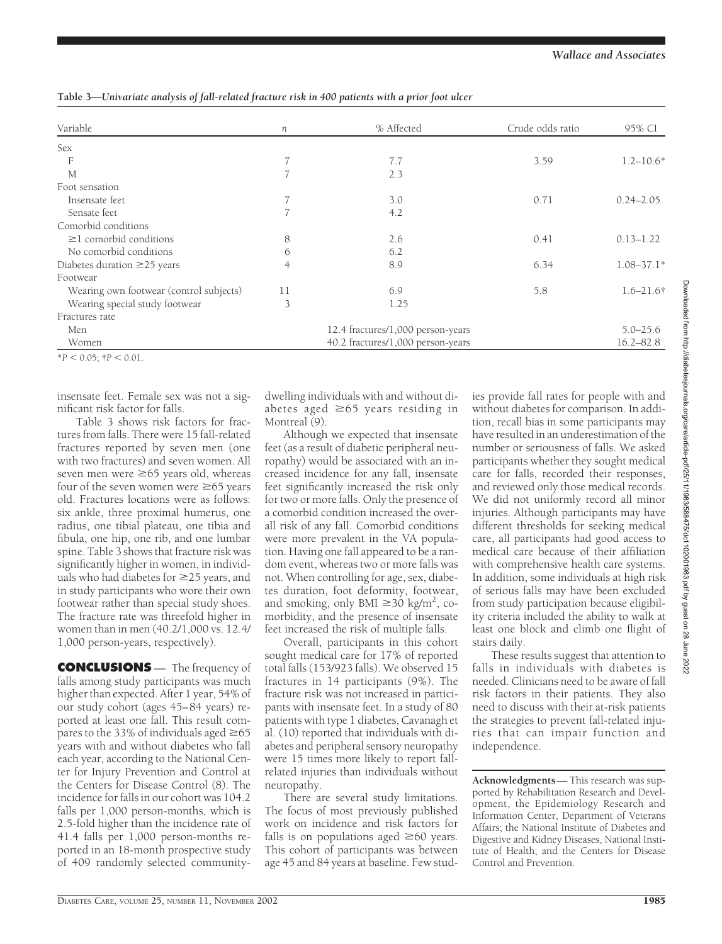DIABETES CARE, VOLUME 25, NUMBER 11, NOVEMBER 2002 1985

| Variable                                | п                                 | % Affected                        | Crude odds ratio | 95% CI         |
|-----------------------------------------|-----------------------------------|-----------------------------------|------------------|----------------|
| Sex                                     |                                   |                                   |                  |                |
| F                                       |                                   | 7.7                               | 3.59             | $1.2 - 10.6*$  |
| M                                       | 7                                 | 2.3                               |                  |                |
| Foot sensation                          |                                   |                                   |                  |                |
| Insensate feet                          |                                   | 3.0                               | 0.71             | $0.24 - 2.05$  |
| Sensate feet                            | 7                                 | 4.2                               |                  |                |
| Comorbid conditions                     |                                   |                                   |                  |                |
| $\geq$ 1 comorbid conditions            | 8                                 | 2.6                               | 0.41             | $0.13 - 1.22$  |
| No comorbid conditions                  | 6                                 | 6.2                               |                  |                |
| Diabetes duration $\geq$ 25 years       | 4                                 | 8.9                               | 6.34             | $1.08 - 37.1*$ |
| Footwear                                |                                   |                                   |                  |                |
| Wearing own footwear (control subjects) | 11                                | 6.9                               | 5.8              | $1.6 - 21.6$ † |
| Wearing special study footwear          | 3                                 | 1.25                              |                  |                |
| Fractures rate                          |                                   |                                   |                  |                |
| Men                                     | 12.4 fractures/1,000 person-years |                                   |                  | $5.0 - 25.6$   |
| Women                                   |                                   | 40.2 fractures/1,000 person-years |                  | $16.2 - 82.8$  |

**Table 3—***Univariate analysis of fall-related fracture risk in 400 patients with a prior foot ulcer*

insensate feet. Female sex was not a significant risk factor for falls.

 $*P < 0.05$ ;  $\uparrow P < 0.01$ .

Table 3 shows risk factors for fractures from falls. There were 15 fall-related fractures reported by seven men (one with two fractures) and seven women. All seven men were  $\geq 65$  years old, whereas four of the seven women were  $\geq 65$  years old. Fractures locations were as follows: six ankle, three proximal humerus, one radius, one tibial plateau, one tibia and fibula, one hip, one rib, and one lumbar spine. Table 3 shows that fracture risk was significantly higher in women, in individuals who had diabetes for  $\geq$  25 years, and in study participants who wore their own footwear rather than special study shoes. The fracture rate was threefold higher in women than in men (40.2/1,000 vs. 12.4/ 1,000 person-years, respectively).

**CONCLUSIONS** — The frequency of falls among study participants was much higher than expected. After 1 year, 54% of our study cohort (ages 45–84 years) reported at least one fall. This result compares to the 33% of individuals aged  $\geq 65$ years with and without diabetes who fall each year, according to the National Center for Injury Prevention and Control at the Centers for Disease Control (8). The incidence for falls in our cohort was 104.2 falls per 1,000 person-months, which is 2.5-fold higher than the incidence rate of 41.4 falls per 1,000 person-months reported in an 18-month prospective study of 409 randomly selected communitydwelling individuals with and without diabetes aged  $\geq 65$  years residing in Montreal (9).

Although we expected that insensate feet (as a result of diabetic peripheral neuropathy) would be associated with an increased incidence for any fall, insensate feet significantly increased the risk only for two or more falls. Only the presence of a comorbid condition increased the overall risk of any fall. Comorbid conditions were more prevalent in the VA population. Having one fall appeared to be a random event, whereas two or more falls was not. When controlling for age, sex, diabetes duration, foot deformity, footwear, and smoking, only BMI  $\geq 30$  kg/m<sup>2</sup>, comorbidity, and the presence of insensate feet increased the risk of multiple falls.

Overall, participants in this cohort sought medical care for 17% of reported total falls (153/923 falls). We observed 15 fractures in 14 participants (9%). The fracture risk was not increased in participants with insensate feet. In a study of 80 patients with type 1 diabetes, Cavanagh et al. (10) reported that individuals with diabetes and peripheral sensory neuropathy were 15 times more likely to report fallrelated injuries than individuals without neuropathy.

There are several study limitations. The focus of most previously published work on incidence and risk factors for falls is on populations aged  $\geq 60$  years. This cohort of participants was between age 45 and 84 years at baseline. Few studies provide fall rates for people with and without diabetes for comparison. In addition, recall bias in some participants may have resulted in an underestimation of the number or seriousness of falls. We asked participants whether they sought medical care for falls, recorded their responses, and reviewed only those medical records. We did not uniformly record all minor injuries. Although participants may have different thresholds for seeking medical care, all participants had good access to medical care because of their affiliation with comprehensive health care systems. In addition, some individuals at high risk of serious falls may have been excluded from study participation because eligibility criteria included the ability to walk at least one block and climb one flight of stairs daily.

These results suggest that attention to falls in individuals with diabetes is needed. Clinicians need to be aware of fall risk factors in their patients. They also need to discuss with their at-risk patients the strategies to prevent fall-related injuries that can impair function and independence.

**Acknowledgments**— This research was supported by Rehabilitation Research and Development, the Epidemiology Research and Information Center, Department of Veterans Affairs; the National Institute of Diabetes and Digestive and Kidney Diseases, National Institute of Health; and the Centers for Disease Control and Prevention.